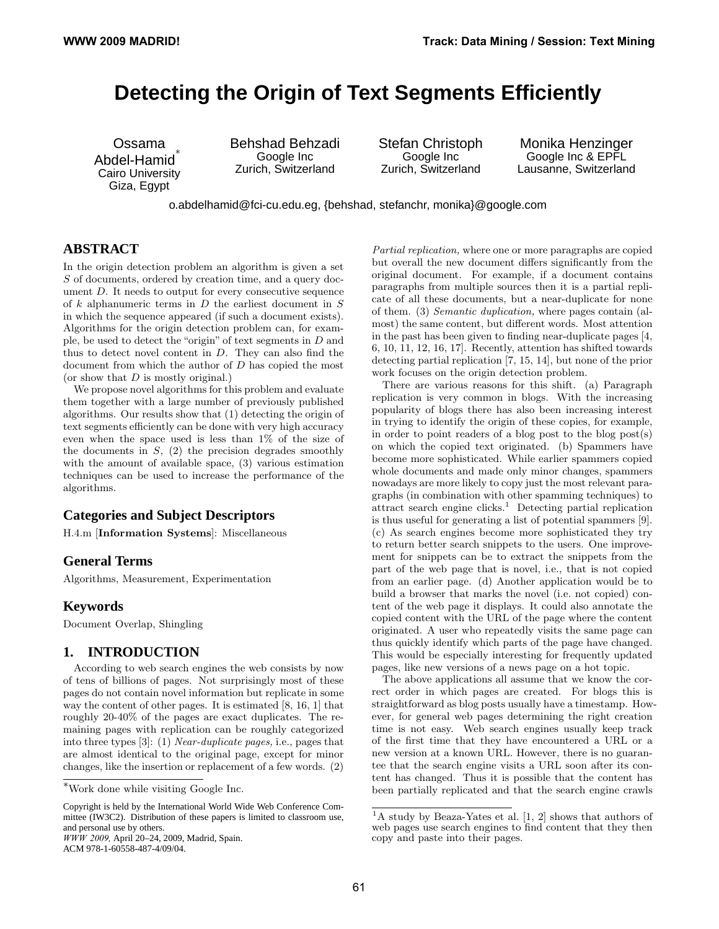# **Detecting the Origin of Text Segments Efficiently**

Ossama Abdel-Hamid<sup>∗</sup> Cairo University Giza, Egypt

Behshad Behzadi Google Inc Zurich, Switzerland

Stefan Christoph Google Inc Zurich, Switzerland

Monika Henzinger Google Inc & EPFL Lausanne, Switzerland

o.abdelhamid@fci-cu.edu.eg, {behshad, stefanchr, monika}@google.com

# **ABSTRACT**

In the origin detection problem an algorithm is given a set S of documents, ordered by creation time, and a query document  $D$ . It needs to output for every consecutive sequence of  $k$  alphanumeric terms in  $D$  the earliest document in  $S$ in which the sequence appeared (if such a document exists). Algorithms for the origin detection problem can, for example, be used to detect the "origin" of text segments in D and thus to detect novel content in D. They can also find the document from which the author of D has copied the most (or show that  $D$  is mostly original.)

We propose novel algorithms for this problem and evaluate them together with a large number of previously published algorithms. Our results show that (1) detecting the origin of text segments efficiently can be done with very high accuracy even when the space used is less than 1% of the size of the documents in  $S$ ,  $(2)$  the precision degrades smoothly with the amount of available space, (3) various estimation techniques can be used to increase the performance of the algorithms.

# **Categories and Subject Descriptors**

H.4.m [Information Systems]: Miscellaneous

# **General Terms**

Algorithms, Measurement, Experimentation

# **Keywords**

Document Overlap, Shingling

# **1. INTRODUCTION**

According to web search engines the web consists by now of tens of billions of pages. Not surprisingly most of these pages do not contain novel information but replicate in some way the content of other pages. It is estimated [8, 16, 1] that roughly 20-40% of the pages are exact duplicates. The remaining pages with replication can be roughly categorized into three types [3]: (1) Near-duplicate pages, i.e., pages that are almost identical to the original page, except for minor changes, like the insertion or replacement of a few words. (2)

*WWW 2009,* April 20–24, 2009, Madrid, Spain.

ACM 978-1-60558-487-4/09/04.

Partial replication, where one or more paragraphs are copied but overall the new document differs significantly from the original document. For example, if a document contains paragraphs from multiple sources then it is a partial replicate of all these documents, but a near-duplicate for none of them. (3) Semantic duplication, where pages contain (almost) the same content, but different words. Most attention in the past has been given to finding near-duplicate pages [4, 6, 10, 11, 12, 16, 17]. Recently, attention has shifted towards detecting partial replication [7, 15, 14], but none of the prior work focuses on the origin detection problem.

There are various reasons for this shift. (a) Paragraph replication is very common in blogs. With the increasing popularity of blogs there has also been increasing interest in trying to identify the origin of these copies, for example, in order to point readers of a blog post to the blog post(s) on which the copied text originated. (b) Spammers have become more sophisticated. While earlier spammers copied whole documents and made only minor changes, spammers nowadays are more likely to copy just the most relevant paragraphs (in combination with other spamming techniques) to attract search engine clicks.<sup>1</sup> Detecting partial replication is thus useful for generating a list of potential spammers [9]. (c) As search engines become more sophisticated they try to return better search snippets to the users. One improvement for snippets can be to extract the snippets from the part of the web page that is novel, i.e., that is not copied from an earlier page. (d) Another application would be to build a browser that marks the novel (i.e. not copied) content of the web page it displays. It could also annotate the copied content with the URL of the page where the content originated. A user who repeatedly visits the same page can thus quickly identify which parts of the page have changed. This would be especially interesting for frequently updated pages, like new versions of a news page on a hot topic.

The above applications all assume that we know the correct order in which pages are created. For blogs this is straightforward as blog posts usually have a timestamp. However, for general web pages determining the right creation time is not easy. Web search engines usually keep track of the first time that they have encountered a URL or a new version at a known URL. However, there is no guarantee that the search engine visits a URL soon after its content has changed. Thus it is possible that the content has been partially replicated and that the search engine crawls

<sup>∗</sup>Work done while visiting Google Inc.

Copyright is held by the International World Wide Web Conference Committee (IW3C2). Distribution of these papers is limited to classroom use, and personal use by others.

 ${}^{1}$ A study by Beaza-Yates et al. [1, 2] shows that authors of web pages use search engines to find content that they then copy and paste into their pages.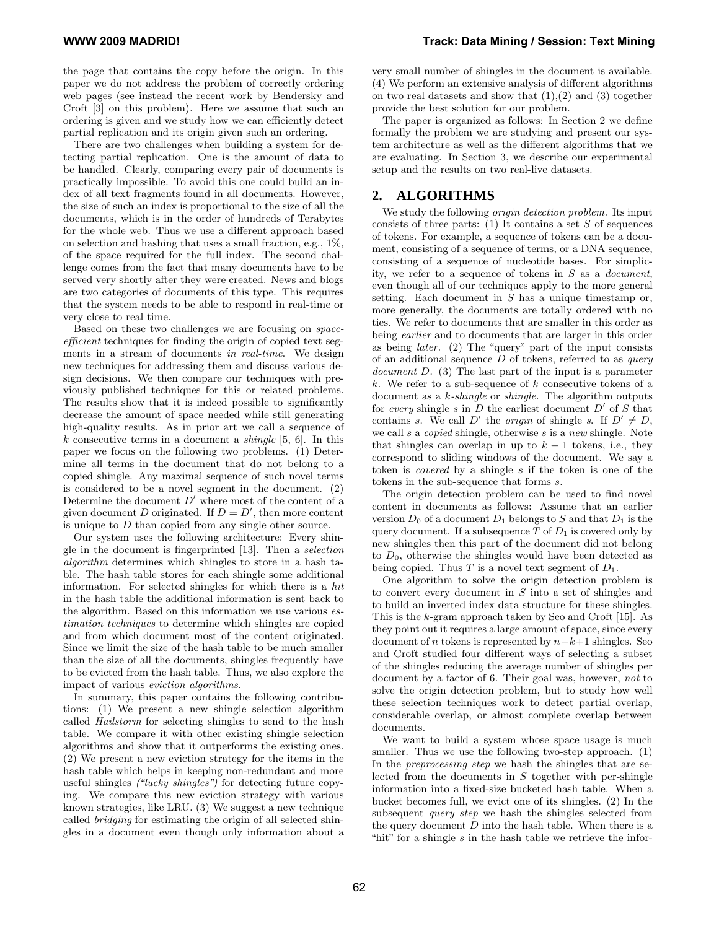the page that contains the copy before the origin. In this paper we do not address the problem of correctly ordering web pages (see instead the recent work by Bendersky and Croft [3] on this problem). Here we assume that such an ordering is given and we study how we can efficiently detect partial replication and its origin given such an ordering.

There are two challenges when building a system for detecting partial replication. One is the amount of data to be handled. Clearly, comparing every pair of documents is practically impossible. To avoid this one could build an index of all text fragments found in all documents. However, the size of such an index is proportional to the size of all the documents, which is in the order of hundreds of Terabytes for the whole web. Thus we use a different approach based on selection and hashing that uses a small fraction, e.g., 1%, of the space required for the full index. The second challenge comes from the fact that many documents have to be served very shortly after they were created. News and blogs are two categories of documents of this type. This requires that the system needs to be able to respond in real-time or very close to real time.

Based on these two challenges we are focusing on spaceefficient techniques for finding the origin of copied text segments in a stream of documents in real-time. We design new techniques for addressing them and discuss various design decisions. We then compare our techniques with previously published techniques for this or related problems. The results show that it is indeed possible to significantly decrease the amount of space needed while still generating high-quality results. As in prior art we call a sequence of  $k$  consecutive terms in a document a *shingle* [5, 6]. In this paper we focus on the following two problems. (1) Determine all terms in the document that do not belong to a copied shingle. Any maximal sequence of such novel terms is considered to be a novel segment in the document. (2) Determine the document  $D'$  where most of the content of a given document D originated. If  $D = D'$ , then more content is unique to D than copied from any single other source.

Our system uses the following architecture: Every shingle in the document is fingerprinted [13]. Then a selection algorithm determines which shingles to store in a hash table. The hash table stores for each shingle some additional information. For selected shingles for which there is a hit in the hash table the additional information is sent back to the algorithm. Based on this information we use various estimation techniques to determine which shingles are copied and from which document most of the content originated. Since we limit the size of the hash table to be much smaller than the size of all the documents, shingles frequently have to be evicted from the hash table. Thus, we also explore the impact of various eviction algorithms.

In summary, this paper contains the following contributions: (1) We present a new shingle selection algorithm called Hailstorm for selecting shingles to send to the hash table. We compare it with other existing shingle selection algorithms and show that it outperforms the existing ones. (2) We present a new eviction strategy for the items in the hash table which helps in keeping non-redundant and more useful shingles ("lucky shingles") for detecting future copying. We compare this new eviction strategy with various known strategies, like LRU. (3) We suggest a new technique called bridging for estimating the origin of all selected shingles in a document even though only information about a

very small number of shingles in the document is available. (4) We perform an extensive analysis of different algorithms on two real datasets and show that  $(1),(2)$  and  $(3)$  together provide the best solution for our problem.

The paper is organized as follows: In Section 2 we define formally the problem we are studying and present our system architecture as well as the different algorithms that we are evaluating. In Section 3, we describe our experimental setup and the results on two real-live datasets.

# **2. ALGORITHMS**

We study the following *origin detection problem*. Its input consists of three parts: (1) It contains a set  $S$  of sequences of tokens. For example, a sequence of tokens can be a document, consisting of a sequence of terms, or a DNA sequence, consisting of a sequence of nucleotide bases. For simplicity, we refer to a sequence of tokens in  $S$  as a *document*, even though all of our techniques apply to the more general setting. Each document in  $S$  has a unique timestamp or, more generally, the documents are totally ordered with no ties. We refer to documents that are smaller in this order as being earlier and to documents that are larger in this order as being later. (2) The "query" part of the input consists of an additional sequence  $D$  of tokens, referred to as *query* document D. (3) The last part of the input is a parameter k. We refer to a sub-sequence of  $k$  consecutive tokens of a document as a k-shingle or shingle. The algorithm outputs for every shingle s in  $\overline{D}$  the earliest document  $D'$  of  $S$  that contains s. We call D' the *origin* of shingle s. If  $D' \neq D$ , we call s a *copied* shingle, otherwise s is a *new* shingle. Note that shingles can overlap in up to  $k-1$  tokens, i.e., they correspond to sliding windows of the document. We say a token is covered by a shingle s if the token is one of the tokens in the sub-sequence that forms s.

The origin detection problem can be used to find novel content in documents as follows: Assume that an earlier version  $D_0$  of a document  $D_1$  belongs to S and that  $D_1$  is the query document. If a subsequence  $T$  of  $D_1$  is covered only by new shingles then this part of the document did not belong to  $D_0$ , otherwise the shingles would have been detected as being copied. Thus  $T$  is a novel text segment of  $D_1$ .

One algorithm to solve the origin detection problem is to convert every document in  $S$  into a set of shingles and to build an inverted index data structure for these shingles. This is the k-gram approach taken by Seo and Croft [15]. As they point out it requires a large amount of space, since every document of n tokens is represented by  $n-k+1$  shingles. Seo and Croft studied four different ways of selecting a subset of the shingles reducing the average number of shingles per document by a factor of 6. Their goal was, however, not to solve the origin detection problem, but to study how well these selection techniques work to detect partial overlap, considerable overlap, or almost complete overlap between documents.

We want to build a system whose space usage is much smaller. Thus we use the following two-step approach. (1) In the preprocessing step we hash the shingles that are selected from the documents in S together with per-shingle information into a fixed-size bucketed hash table. When a bucket becomes full, we evict one of its shingles. (2) In the subsequent *query step* we hash the shingles selected from the query document  $D$  into the hash table. When there is a "hit" for a shingle  $s$  in the hash table we retrieve the infor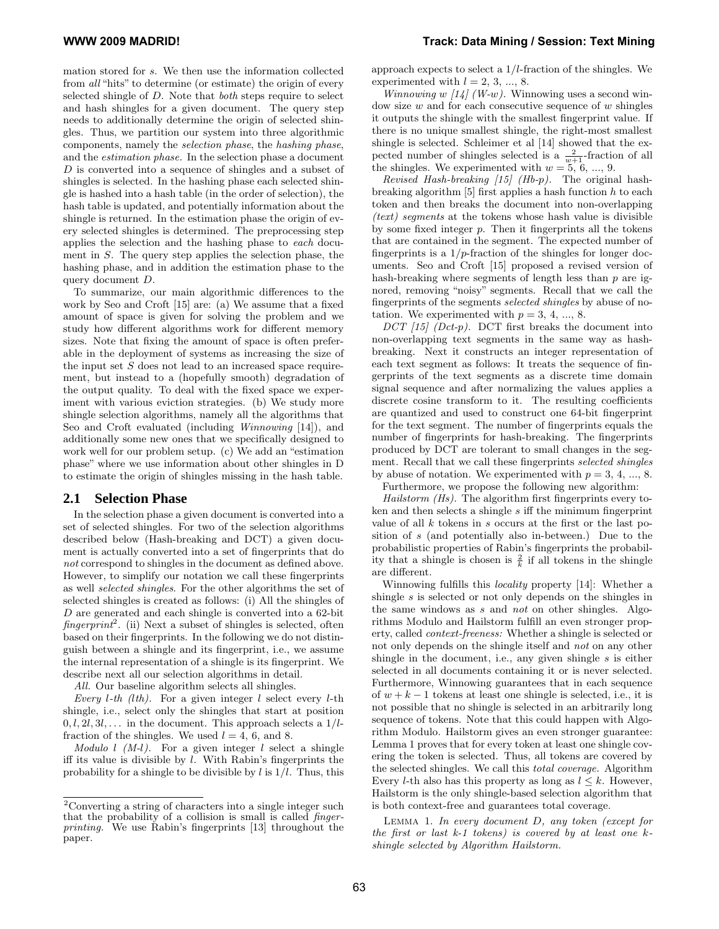mation stored for s. We then use the information collected from all "hits" to determine (or estimate) the origin of every selected shingle of D. Note that *both* steps require to select and hash shingles for a given document. The query step needs to additionally determine the origin of selected shingles. Thus, we partition our system into three algorithmic components, namely the selection phase, the hashing phase, and the estimation phase. In the selection phase a document D is converted into a sequence of shingles and a subset of shingles is selected. In the hashing phase each selected shingle is hashed into a hash table (in the order of selection), the hash table is updated, and potentially information about the shingle is returned. In the estimation phase the origin of every selected shingles is determined. The preprocessing step applies the selection and the hashing phase to each document in S. The query step applies the selection phase, the hashing phase, and in addition the estimation phase to the query document D.

To summarize, our main algorithmic differences to the work by Seo and Croft [15] are: (a) We assume that a fixed amount of space is given for solving the problem and we study how different algorithms work for different memory sizes. Note that fixing the amount of space is often preferable in the deployment of systems as increasing the size of the input set  $S$  does not lead to an increased space requirement, but instead to a (hopefully smooth) degradation of the output quality. To deal with the fixed space we experiment with various eviction strategies. (b) We study more shingle selection algorithms, namely all the algorithms that Seo and Croft evaluated (including Winnowing [14]), and additionally some new ones that we specifically designed to work well for our problem setup. (c) We add an "estimation phase" where we use information about other shingles in D to estimate the origin of shingles missing in the hash table.

# **2.1 Selection Phase**

In the selection phase a given document is converted into a set of selected shingles. For two of the selection algorithms described below (Hash-breaking and DCT) a given document is actually converted into a set of fingerprints that do not correspond to shingles in the document as defined above. However, to simplify our notation we call these fingerprints as well selected shingles. For the other algorithms the set of selected shingles is created as follows: (i) All the shingles of D are generated and each shingle is converted into a 62-bit  $fingerprint^2$ . (ii) Next a subset of shingles is selected, often based on their fingerprints. In the following we do not distinguish between a shingle and its fingerprint, i.e., we assume the internal representation of a shingle is its fingerprint. We describe next all our selection algorithms in detail.

All. Our baseline algorithm selects all shingles.

Every *l*-th  $(lth)$ . For a given integer *l* select every *l*-th shingle, i.e., select only the shingles that start at position  $0, l, 2l, 3l, \ldots$  in the document. This approach selects a  $1/l$ fraction of the shingles. We used  $l = 4, 6,$  and 8.

Modulo  $l$  (M-l). For a given integer  $l$  select a shingle iff its value is divisible by  $l$ . With Rabin's fingerprints the probability for a shingle to be divisible by  $l$  is  $1/l$ . Thus, this approach expects to select a  $1/l$ -fraction of the shingles. We experimented with  $l = 2, 3, ..., 8$ .

*Winnowing w [14] (W-w)*. Winnowing uses a second window size  $w$  and for each consecutive sequence of  $w$  shingles it outputs the shingle with the smallest fingerprint value. If there is no unique smallest shingle, the right-most smallest shingle is selected. Schleimer et al [14] showed that the expected number of shingles selected is a  $\frac{2}{w+1}$ -fraction of all the shingles. We experimented with  $w = 5, 6, ..., 9$ .

Revised Hash-breaking  $[15]$  (Hb-p). The original hashbreaking algorithm  $[5]$  first applies a hash function h to each token and then breaks the document into non-overlapping (text) segments at the tokens whose hash value is divisible by some fixed integer p. Then it fingerprints all the tokens that are contained in the segment. The expected number of fingerprints is a  $1/p$ -fraction of the shingles for longer documents. Seo and Croft [15] proposed a revised version of hash-breaking where segments of length less than  $p$  are ignored, removing "noisy" segments. Recall that we call the fingerprints of the segments selected shingles by abuse of notation. We experimented with  $p = 3, 4, ..., 8$ .

 $DCT$  [15] (Dct-p). DCT first breaks the document into non-overlapping text segments in the same way as hashbreaking. Next it constructs an integer representation of each text segment as follows: It treats the sequence of fingerprints of the text segments as a discrete time domain signal sequence and after normalizing the values applies a discrete cosine transform to it. The resulting coefficients are quantized and used to construct one 64-bit fingerprint for the text segment. The number of fingerprints equals the number of fingerprints for hash-breaking. The fingerprints produced by DCT are tolerant to small changes in the segment. Recall that we call these fingerprints selected shingles by abuse of notation. We experimented with  $p = 3, 4, ..., 8$ . Furthermore, we propose the following new algorithm:

Hailstorm *(Hs)*. The algorithm first fingerprints every token and then selects a shingle s iff the minimum fingerprint value of all k tokens in s occurs at the first or the last position of s (and potentially also in-between.) Due to the probabilistic properties of Rabin's fingerprints the probability that a shingle is chosen is  $\frac{2}{k}$  if all tokens in the shingle are different.

Winnowing fulfills this locality property [14]: Whether a shingle s is selected or not only depends on the shingles in the same windows as s and not on other shingles. Algorithms Modulo and Hailstorm fulfill an even stronger property, called context-freeness: Whether a shingle is selected or not only depends on the shingle itself and not on any other shingle in the document, i.e., any given shingle  $s$  is either selected in all documents containing it or is never selected. Furthermore, Winnowing guarantees that in each sequence of  $w + k - 1$  tokens at least one shingle is selected, i.e., it is not possible that no shingle is selected in an arbitrarily long sequence of tokens. Note that this could happen with Algorithm Modulo. Hailstorm gives an even stronger guarantee: Lemma 1 proves that for every token at least one shingle covering the token is selected. Thus, all tokens are covered by the selected shingles. We call this total coverage. Algorithm Every *l*-th also has this property as long as  $l \leq k$ . However, Hailstorm is the only shingle-based selection algorithm that is both context-free and guarantees total coverage.

LEMMA 1. In every document  $D$ , any token (except for the first or last  $k-1$  tokens) is covered by at least one  $k$ shingle selected by Algorithm Hailstorm.

 $^2$  Converting a string of characters into a single integer such that the probability of a collision is small is called fingerprinting. We use Rabin's fingerprints [13] throughout the paper.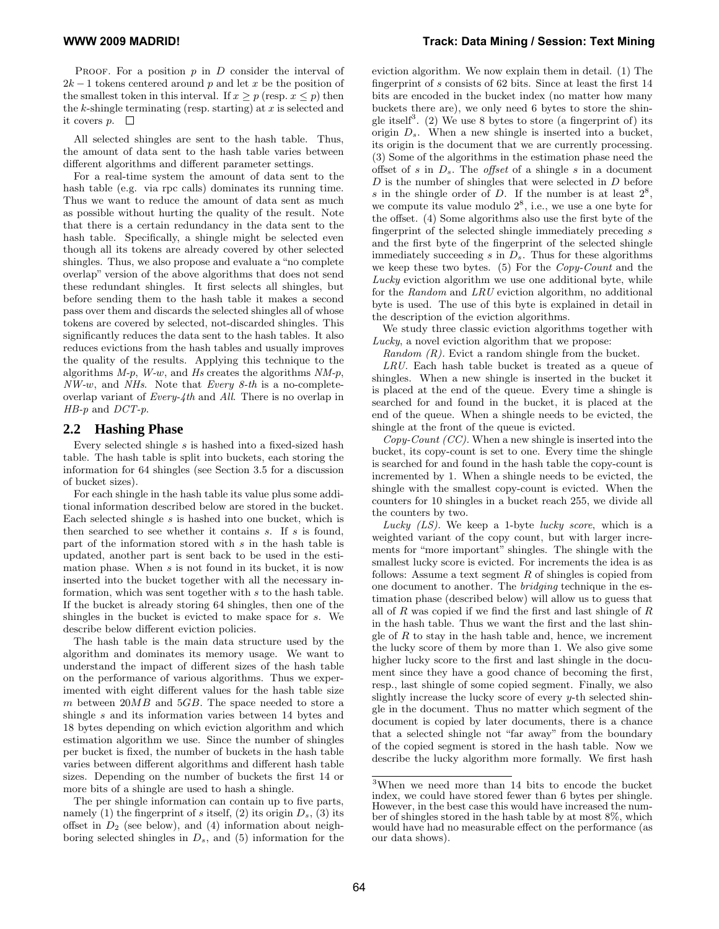PROOF. For a position  $p$  in  $D$  consider the interval of  $2k-1$  tokens centered around p and let x be the position of the smallest token in this interval. If  $x > p$  (resp.  $x \leq p$ ) then the k-shingle terminating (resp. starting) at  $x$  is selected and it covers  $p.$   $\Box$ 

All selected shingles are sent to the hash table. Thus, the amount of data sent to the hash table varies between different algorithms and different parameter settings.

For a real-time system the amount of data sent to the hash table (e.g. via rpc calls) dominates its running time. Thus we want to reduce the amount of data sent as much as possible without hurting the quality of the result. Note that there is a certain redundancy in the data sent to the hash table. Specifically, a shingle might be selected even though all its tokens are already covered by other selected shingles. Thus, we also propose and evaluate a "no complete overlap" version of the above algorithms that does not send these redundant shingles. It first selects all shingles, but before sending them to the hash table it makes a second pass over them and discards the selected shingles all of whose tokens are covered by selected, not-discarded shingles. This significantly reduces the data sent to the hash tables. It also reduces evictions from the hash tables and usually improves the quality of the results. Applying this technique to the algorithms  $M-p$ ,  $W-w$ , and  $Hs$  creates the algorithms  $NM-p$ ,  $NW-w$ , and  $NHs$ . Note that Every 8-th is a no-completeoverlap variant of Every-4th and All. There is no overlap in  $HB-p$  and  $DCT-p$ .

# **2.2 Hashing Phase**

Every selected shingle  $s$  is hashed into a fixed-sized hash table. The hash table is split into buckets, each storing the information for 64 shingles (see Section 3.5 for a discussion of bucket sizes).

For each shingle in the hash table its value plus some additional information described below are stored in the bucket. Each selected shingle s is hashed into one bucket, which is then searched to see whether it contains s. If s is found, part of the information stored with s in the hash table is updated, another part is sent back to be used in the estimation phase. When s is not found in its bucket, it is now inserted into the bucket together with all the necessary information, which was sent together with s to the hash table. If the bucket is already storing 64 shingles, then one of the shingles in the bucket is evicted to make space for s. We describe below different eviction policies.

The hash table is the main data structure used by the algorithm and dominates its memory usage. We want to understand the impact of different sizes of the hash table on the performance of various algorithms. Thus we experimented with eight different values for the hash table size m between  $20MB$  and  $5GB$ . The space needed to store a shingle s and its information varies between 14 bytes and 18 bytes depending on which eviction algorithm and which estimation algorithm we use. Since the number of shingles per bucket is fixed, the number of buckets in the hash table varies between different algorithms and different hash table sizes. Depending on the number of buckets the first 14 or more bits of a shingle are used to hash a shingle.

The per shingle information can contain up to five parts, namely (1) the fingerprint of s itself, (2) its origin  $D_s$ , (3) its offset in  $D_2$  (see below), and (4) information about neighboring selected shingles in  $D_s$ , and (5) information for the eviction algorithm. We now explain them in detail. (1) The fingerprint of s consists of 62 bits. Since at least the first 14 bits are encoded in the bucket index (no matter how many buckets there are), we only need 6 bytes to store the shingle itself<sup>3</sup>. (2) We use 8 bytes to store (a fingerprint of) its origin  $D_s$ . When a new shingle is inserted into a bucket, its origin is the document that we are currently processing. (3) Some of the algorithms in the estimation phase need the offset of s in  $D_s$ . The *offset* of a shingle s in a document  $D$  is the number of shingles that were selected in  $D$  before s in the shingle order of D. If the number is at least  $2^8$ , we compute its value modulo  $2^8$ , i.e., we use a one byte for the offset. (4) Some algorithms also use the first byte of the fingerprint of the selected shingle immediately preceding s and the first byte of the fingerprint of the selected shingle immediately succeeding  $s$  in  $D_s$ . Thus for these algorithms we keep these two bytes. (5) For the Copy-Count and the Lucky eviction algorithm we use one additional byte, while for the Random and LRU eviction algorithm, no additional byte is used. The use of this byte is explained in detail in the description of the eviction algorithms.

We study three classic eviction algorithms together with Lucky, a novel eviction algorithm that we propose:

 $Random(R)$ . Evict a random shingle from the bucket.

LRU. Each hash table bucket is treated as a queue of shingles. When a new shingle is inserted in the bucket it is placed at the end of the queue. Every time a shingle is searched for and found in the bucket, it is placed at the end of the queue. When a shingle needs to be evicted, the shingle at the front of the queue is evicted.

 $Copy-Count (CC)$ . When a new shingle is inserted into the bucket, its copy-count is set to one. Every time the shingle is searched for and found in the hash table the copy-count is incremented by 1. When a shingle needs to be evicted, the shingle with the smallest copy-count is evicted. When the counters for 10 shingles in a bucket reach 255, we divide all the counters by two.

Lucky  $(LS)$ . We keep a 1-byte lucky score, which is a weighted variant of the copy count, but with larger increments for "more important" shingles. The shingle with the smallest lucky score is evicted. For increments the idea is as follows: Assume a text segment  $R$  of shingles is copied from one document to another. The bridging technique in the estimation phase (described below) will allow us to guess that all of  $R$  was copied if we find the first and last shingle of  $R$ in the hash table. Thus we want the first and the last shingle of  $R$  to stay in the hash table and, hence, we increment the lucky score of them by more than 1. We also give some higher lucky score to the first and last shingle in the document since they have a good chance of becoming the first, resp., last shingle of some copied segment. Finally, we also slightly increase the lucky score of every  $y$ -th selected shingle in the document. Thus no matter which segment of the document is copied by later documents, there is a chance that a selected shingle not "far away" from the boundary of the copied segment is stored in the hash table. Now we describe the lucky algorithm more formally. We first hash

<sup>3</sup>When we need more than 14 bits to encode the bucket index, we could have stored fewer than 6 bytes per shingle. However, in the best case this would have increased the number of shingles stored in the hash table by at most 8%, which would have had no measurable effect on the performance (as our data shows).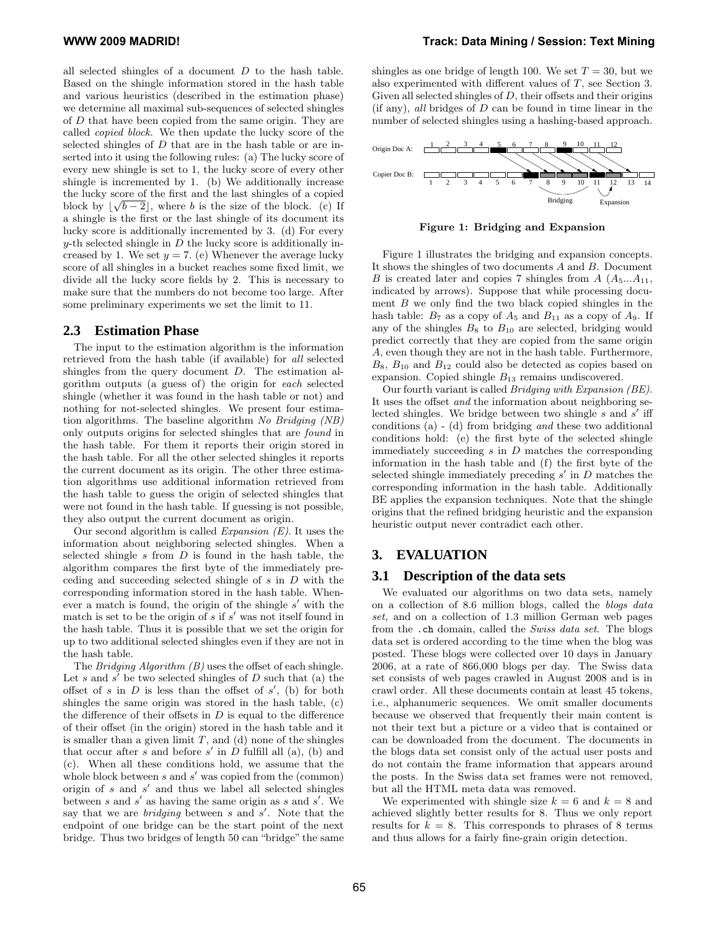all selected shingles of a document  $D$  to the hash table. Based on the shingle information stored in the hash table and various heuristics (described in the estimation phase) we determine all maximal sub-sequences of selected shingles of D that have been copied from the same origin. They are called copied block. We then update the lucky score of the selected shingles of D that are in the hash table or are inserted into it using the following rules: (a) The lucky score of every new shingle is set to 1, the lucky score of every other shingle is incremented by 1. (b) We additionally increase the lucky score of the first and the last shingles of a copied block by  $\lfloor \sqrt{b-2} \rfloor$ , where b is the size of the block. (c) If a shingle is the first or the last shingle of its document its lucky score is additionally incremented by 3. (d) For every  $y$ -th selected shingle in  $D$  the lucky score is additionally increased by 1. We set  $y = 7$ . (e) Whenever the average lucky score of all shingles in a bucket reaches some fixed limit, we divide all the lucky score fields by 2. This is necessary to make sure that the numbers do not become too large. After some preliminary experiments we set the limit to 11.

# **2.3 Estimation Phase**

The input to the estimation algorithm is the information retrieved from the hash table (if available) for all selected shingles from the query document D. The estimation algorithm outputs (a guess of) the origin for each selected shingle (whether it was found in the hash table or not) and nothing for not-selected shingles. We present four estimation algorithms. The baseline algorithm No Bridging (NB) only outputs origins for selected shingles that are found in the hash table. For them it reports their origin stored in the hash table. For all the other selected shingles it reports the current document as its origin. The other three estimation algorithms use additional information retrieved from the hash table to guess the origin of selected shingles that were not found in the hash table. If guessing is not possible, they also output the current document as origin.

Our second algorithm is called *Expansion*  $(E)$ . It uses the information about neighboring selected shingles. When a selected shingle  $s$  from  $D$  is found in the hash table, the algorithm compares the first byte of the immediately preceding and succeeding selected shingle of  $s$  in  $D$  with the corresponding information stored in the hash table. Whenever a match is found, the origin of the shingle  $s'$  with the match is set to be the origin of  $s$  if  $s'$  was not itself found in the hash table. Thus it is possible that we set the origin for up to two additional selected shingles even if they are not in the hash table.

The Bridging Algorithm (B) uses the offset of each shingle. Let s and  $s'$  be two selected shingles of  $D$  such that (a) the offset of s in  $D$  is less than the offset of s', (b) for both shingles the same origin was stored in the hash table, (c) the difference of their offsets in  $D$  is equal to the difference of their offset (in the origin) stored in the hash table and it is smaller than a given limit  $T$ , and (d) none of the shingles that occur after s and before s' in  $\overrightarrow{D}$  fulfill all (a), (b) and (c). When all these conditions hold, we assume that the whole block between  $s$  and  $s'$  was copied from the (common) origin of  $s$  and  $s'$  and thus we label all selected shingles between s and s' as having the same origin as s and s'. We say that we are *bridging* between s and  $s'$ . Note that the endpoint of one bridge can be the start point of the next bridge. Thus two bridges of length 50 can "bridge" the same shingles as one bridge of length 100. We set  $T = 30$ , but we also experimented with different values of T, see Section 3. Given all selected shingles of  $D$ , their offsets and their origins (if any), all bridges of  $D$  can be found in time linear in the number of selected shingles using a hashing-based approach.



Figure 1: Bridging and Expansion

Figure 1 illustrates the bridging and expansion concepts. It shows the shingles of two documents A and B. Document B is created later and copies 7 shingles from  $A(A_5...A_{11},$ indicated by arrows). Suppose that while processing document  $B$  we only find the two black copied shingles in the hash table:  $B_7$  as a copy of  $A_5$  and  $B_{11}$  as a copy of  $A_9$ . If any of the shingles  $B_8$  to  $B_{10}$  are selected, bridging would predict correctly that they are copied from the same origin A, even though they are not in the hash table. Furthermore,  $B_8$ ,  $B_{10}$  and  $B_{12}$  could also be detected as copies based on expansion. Copied shingle  $B_{13}$  remains undiscovered.

Our fourth variant is called Bridging with Expansion (BE). It uses the offset and the information about neighboring selected shingles. We bridge between two shingle  $s$  and  $s'$  iff conditions (a) - (d) from bridging and these two additional conditions hold: (e) the first byte of the selected shingle immediately succeeding  $s$  in  $D$  matches the corresponding information in the hash table and (f) the first byte of the selected shingle immediately preceding  $s'$  in  $D$  matches the corresponding information in the hash table. Additionally BE applies the expansion techniques. Note that the shingle origins that the refined bridging heuristic and the expansion heuristic output never contradict each other.

# **3. EVALUATION**

### **3.1 Description of the data sets**

We evaluated our algorithms on two data sets, namely on a collection of 8.6 million blogs, called the blogs data set, and on a collection of 1.3 million German web pages from the .ch domain, called the Swiss data set. The blogs data set is ordered according to the time when the blog was posted. These blogs were collected over 10 days in January 2006, at a rate of 866,000 blogs per day. The Swiss data set consists of web pages crawled in August 2008 and is in crawl order. All these documents contain at least 45 tokens, i.e., alphanumeric sequences. We omit smaller documents because we observed that frequently their main content is not their text but a picture or a video that is contained or can be downloaded from the document. The documents in the blogs data set consist only of the actual user posts and do not contain the frame information that appears around the posts. In the Swiss data set frames were not removed, but all the HTML meta data was removed.

We experimented with shingle size  $k = 6$  and  $k = 8$  and achieved slightly better results for 8. Thus we only report results for  $k = 8$ . This corresponds to phrases of 8 terms and thus allows for a fairly fine-grain origin detection.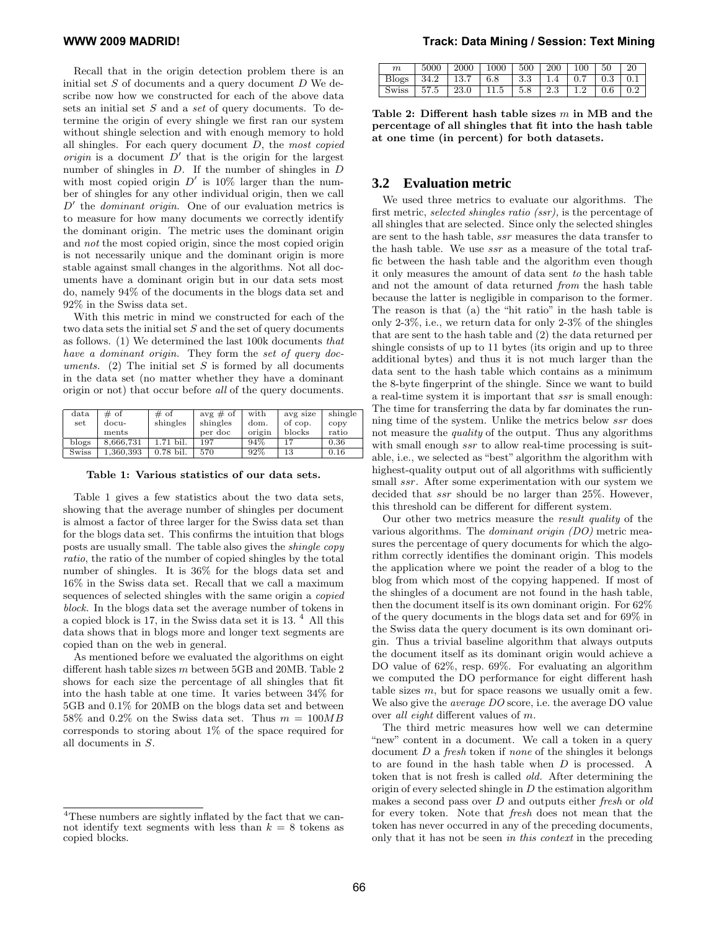Recall that in the origin detection problem there is an initial set  $S$  of documents and a query document  $D$  We describe now how we constructed for each of the above data sets an initial set S and a set of query documents. To determine the origin of every shingle we first ran our system without shingle selection and with enough memory to hold all shingles. For each query document  $D$ , the most copied *origin* is a document  $\overrightarrow{D}'$  that is the origin for the largest number of shingles in  $D$ . If the number of shingles in  $D$ with most copied origin  $D'$  is 10% larger than the number of shingles for any other individual origin, then we call  $D'$  the *dominant origin*. One of our evaluation metrics is to measure for how many documents we correctly identify the dominant origin. The metric uses the dominant origin and not the most copied origin, since the most copied origin is not necessarily unique and the dominant origin is more stable against small changes in the algorithms. Not all documents have a dominant origin but in our data sets most do, namely 94% of the documents in the blogs data set and 92% in the Swiss data set.

With this metric in mind we constructed for each of the two data sets the initial set  $S$  and the set of query documents as follows. (1) We determined the last 100k documents that have a dominant origin. They form the set of query documents. (2) The initial set  $S$  is formed by all documents in the data set (no matter whether they have a dominant origin or not) that occur before all of the query documents.

| $_{\rm data}$ | # of      | # of        | $avg \# of$ | with   | avg size | shingle |
|---------------|-----------|-------------|-------------|--------|----------|---------|
| set           | docu-     | shingles    | shingles    | dom.   | of cop.  | copy    |
|               | ments     |             | per doc     | origin | blocks   | ratio   |
| blogs         | 8.666.731 | 1.71 bil.   | 197         | 94%    |          | 0.36    |
| <b>Swiss</b>  | 1,360,393 | $0.78$ bil. | 570         | 92%    | 13       | 0.16    |

Table 1: Various statistics of our data sets.

Table 1 gives a few statistics about the two data sets, showing that the average number of shingles per document is almost a factor of three larger for the Swiss data set than for the blogs data set. This confirms the intuition that blogs posts are usually small. The table also gives the shingle copy ratio, the ratio of the number of copied shingles by the total number of shingles. It is 36% for the blogs data set and 16% in the Swiss data set. Recall that we call a maximum sequences of selected shingles with the same origin a copied block. In the blogs data set the average number of tokens in a copied block is 17, in the Swiss data set it is 13. <sup>4</sup> All this data shows that in blogs more and longer text segments are copied than on the web in general.

As mentioned before we evaluated the algorithms on eight different hash table sizes  $m$  between 5GB and 20MB. Table 2 shows for each size the percentage of all shingles that fit into the hash table at one time. It varies between 34% for 5GB and 0.1% for 20MB on the blogs data set and between 58% and 0.2% on the Swiss data set. Thus  $m = 100MB$ corresponds to storing about 1% of the space required for all documents in S.

| m                                                                                                                        | $\vert 5000 \vert 2000 \vert 1000 \vert 500 \vert 200 \vert 100 \vert 50 \vert 20 \vert$ |  |  |  |  |
|--------------------------------------------------------------------------------------------------------------------------|------------------------------------------------------------------------------------------|--|--|--|--|
| Blogs   34.2   13.7   6.8   3.3   1.4   0.7   0.3   0.1                                                                  |                                                                                          |  |  |  |  |
| $\vert$ Swiss $\vert$ 57.5 $\vert$ 23.0 $\vert$ 11.5 $\vert$ 5.8 $\vert$ 2.3 $\vert$ 1.2 $\vert$ 0.6 $\vert$ 0.2 $\vert$ |                                                                                          |  |  |  |  |

Table 2: Different hash table sizes  $m$  in MB and the percentage of all shingles that fit into the hash table at one time (in percent) for both datasets.

# **3.2 Evaluation metric**

We used three metrics to evaluate our algorithms. The first metric, selected shingles ratio (ssr), is the percentage of all shingles that are selected. Since only the selected shingles are sent to the hash table, ssr measures the data transfer to the hash table. We use ssr as a measure of the total traffic between the hash table and the algorithm even though it only measures the amount of data sent to the hash table and not the amount of data returned from the hash table because the latter is negligible in comparison to the former. The reason is that (a) the "hit ratio" in the hash table is only 2-3%, i.e., we return data for only 2-3% of the shingles that are sent to the hash table and (2) the data returned per shingle consists of up to 11 bytes (its origin and up to three additional bytes) and thus it is not much larger than the data sent to the hash table which contains as a minimum the 8-byte fingerprint of the shingle. Since we want to build a real-time system it is important that ssr is small enough: The time for transferring the data by far dominates the running time of the system. Unlike the metrics below ssr does not measure the quality of the output. Thus any algorithms with small enough ssr to allow real-time processing is suitable, i.e., we selected as "best" algorithm the algorithm with highest-quality output out of all algorithms with sufficiently small *ssr*. After some experimentation with our system we decided that ssr should be no larger than 25%. However, this threshold can be different for different system.

Our other two metrics measure the result quality of the various algorithms. The dominant origin (DO) metric measures the percentage of query documents for which the algorithm correctly identifies the dominant origin. This models the application where we point the reader of a blog to the blog from which most of the copying happened. If most of the shingles of a document are not found in the hash table, then the document itself is its own dominant origin. For 62% of the query documents in the blogs data set and for 69% in the Swiss data the query document is its own dominant origin. Thus a trivial baseline algorithm that always outputs the document itself as its dominant origin would achieve a DO value of 62\%, resp. 69\%. For evaluating an algorithm we computed the DO performance for eight different hash table sizes m, but for space reasons we usually omit a few. We also give the *average DO* score, i.e. the average DO value over all eight different values of m.

The third metric measures how well we can determine "new" content in a document. We call a token in a query document D a fresh token if none of the shingles it belongs to are found in the hash table when D is processed. A token that is not fresh is called old. After determining the origin of every selected shingle in  $D$  the estimation algorithm makes a second pass over  $D$  and outputs either fresh or old for every token. Note that fresh does not mean that the token has never occurred in any of the preceding documents, only that it has not be seen in this context in the preceding

<sup>4</sup>These numbers are sightly inflated by the fact that we cannot identify text segments with less than  $k = 8$  tokens as copied blocks.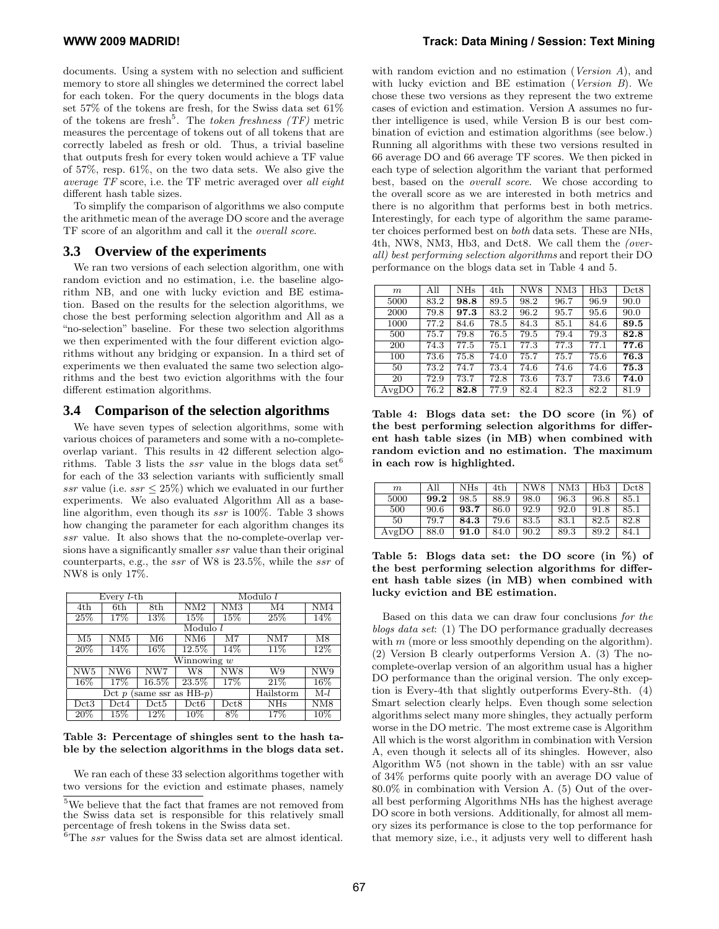documents. Using a system with no selection and sufficient memory to store all shingles we determined the correct label for each token. For the query documents in the blogs data set 57% of the tokens are fresh, for the Swiss data set 61% of the tokens are fresh<sup>5</sup>. The *token freshness*  $(TF)$  metric measures the percentage of tokens out of all tokens that are correctly labeled as fresh or old. Thus, a trivial baseline that outputs fresh for every token would achieve a TF value of 57%, resp. 61%, on the two data sets. We also give the average TF score, i.e. the TF metric averaged over all eight different hash table sizes.

To simplify the comparison of algorithms we also compute the arithmetic mean of the average DO score and the average TF score of an algorithm and call it the overall score.

### **3.3 Overview of the experiments**

We ran two versions of each selection algorithm, one with random eviction and no estimation, i.e. the baseline algorithm NB, and one with lucky eviction and BE estimation. Based on the results for the selection algorithms, we chose the best performing selection algorithm and All as a "no-selection" baseline. For these two selection algorithms we then experimented with the four different eviction algorithms without any bridging or expansion. In a third set of experiments we then evaluated the same two selection algorithms and the best two eviction algorithms with the four different estimation algorithms.

### **3.4 Comparison of the selection algorithms**

We have seven types of selection algorithms, some with various choices of parameters and some with a no-completeoverlap variant. This results in 42 different selection algorithms. Table 3 lists the *ssr* value in the blogs data set<sup>6</sup> for each of the 33 selection variants with sufficiently small ssr value (i.e. ssr  $\leq 25\%$ ) which we evaluated in our further experiments. We also evaluated Algorithm All as a baseline algorithm, even though its ssr is 100%. Table 3 shows how changing the parameter for each algorithm changes its ssr value. It also shows that the no-complete-overlap versions have a significantly smaller *ssr* value than their original counterparts, e.g., the ssr of W8 is 23.5%, while the ssr of NW8 is only 17%.

|                         | Every $l$ -th                             |                         | Modulo <i>l</i>                 |                 |            |                 |  |
|-------------------------|-------------------------------------------|-------------------------|---------------------------------|-----------------|------------|-----------------|--|
| 4th                     | 6th                                       | 8th                     | NM2                             | NM3             | M4         | NM4             |  |
| 25%                     | 17%                                       | $13\%$                  | 15%                             | 15%             | $25\%$     | 14\%            |  |
|                         |                                           |                         | Modulo <i>l</i>                 |                 |            |                 |  |
| M5                      | NM5                                       | M6                      | $N\overline{M6}$                | M7              | NM7        | M8              |  |
| $20\%$                  | 14%                                       | $16\%$                  | $12.5\%$                        | 14%             | 11%        | $12\%$          |  |
|                         |                                           |                         | $\overline{\text{Winnowing}}$ w |                 |            |                 |  |
| $\overline{\text{NW5}}$ | $\overline{\text{NW}}6$                   | $\overline{\text{NW7}}$ | W8                              | NW <sub>8</sub> | W9         | NW9             |  |
| $16\%$                  | 17%                                       | $16.5\%$                | 23.5%                           | $17\%$          | 21%        | $16\%$          |  |
|                         | same ssr as $HB-p$ )<br>$_{\rm Det}$ $_p$ | Hailstorm               | $M-l$                           |                 |            |                 |  |
| $_{\rm Det3}$           | Det4                                      | $_{\rm Det5}$           | $_{\rm Det6}$                   | $_{\rm Det8}$   | <b>NHs</b> | NM <sub>8</sub> |  |
| $20\%$                  | $15\%$                                    | $12\%$                  | $10\%$                          | 8%              | 17%        | $10\%$          |  |

### Table 3: Percentage of shingles sent to the hash table by the selection algorithms in the blogs data set.

We ran each of these 33 selection algorithms together with two versions for the eviction and estimate phases, namely with random eviction and no estimation (Version A), and with lucky eviction and BE estimation (Version B). We chose these two versions as they represent the two extreme cases of eviction and estimation. Version A assumes no further intelligence is used, while Version B is our best combination of eviction and estimation algorithms (see below.) Running all algorithms with these two versions resulted in 66 average DO and 66 average TF scores. We then picked in each type of selection algorithm the variant that performed best, based on the overall score. We chose according to the overall score as we are interested in both metrics and there is no algorithm that performs best in both metrics. Interestingly, for each type of algorithm the same parameter choices performed best on both data sets. These are NHs, 4th, NW8, NM3, Hb3, and Dct8. We call them the (overall) best performing selection algorithms and report their DO performance on the blogs data set in Table 4 and 5.

| m                  | All  | $\overline{\mathrm{NHs}}$ | 4th  | $\overline{\text{NW8}}$ | $\overline{\mathrm{NM3}}$ | $\overline{\text{Hb}}3$ | $\overline{\rm Det}8$ |
|--------------------|------|---------------------------|------|-------------------------|---------------------------|-------------------------|-----------------------|
| 5000               | 83.2 | 98.8                      | 89.5 | 98.2                    | 96.7                      | 96.9                    | 90.0                  |
| 2000               | 79.8 | 97.3                      | 83.2 | 96.2                    | 95.7                      | 95.6                    | 90.0                  |
| 1000               | 77.2 | 84.6                      | 78.5 | 84.3                    | 85.1                      | 84.6                    | 89.5                  |
| 500                | 75.7 | 79.8                      | 76.5 | 79.5                    | 79.4                      | 79.3                    | 82.8                  |
| 200                | 74.3 | 77.5                      | 75.1 | 77.3                    | 77.3                      | 77.1                    | 77.6                  |
| 100                | 73.6 | 75.8                      | 74.0 | 75.7                    | 75.7                      | 75.6                    | 76.3                  |
| 50                 | 73.2 | 74.7                      | 73.4 | 74.6                    | 74.6                      | 74.6                    | 75.3                  |
| 20                 | 72.9 | 73.7                      | 72.8 | 73.6                    | 73.7                      | 73.6                    | 74.0                  |
| $AvgD\overline{O}$ | 76.2 | 82.8                      | 77.9 | 82.4                    | 82.3                      | 82.2                    | 81.9                  |

Table 4: Blogs data set: the DO score (in %) of the best performing selection algorithms for different hash table sizes (in MB) when combined with random eviction and no estimation. The maximum in each row is highlighted.

| $\boldsymbol{m}$ | All  | NHs  | 4th  | NW <sub>8</sub> | NM3  | Hb3  | $_{\rm Det8}$ |
|------------------|------|------|------|-----------------|------|------|---------------|
| 5000             | 99.2 | 98.5 | 88.9 | 98.0            | 96.3 | 96.8 | 85.1          |
| 500              | 90.6 | 93.7 | 86.0 | 92.9            | 92.0 | 91.8 | 85.1          |
| 50               | 79.7 | 84.3 | 79.6 | 83.5            | 83.1 | 82.5 | 82.8          |
| AvgDO            | 88.0 | 91.0 | 84.0 | 90.2            | 89.3 | 89.2 | 84.1          |

Table 5: Blogs data set: the DO score (in %) of the best performing selection algorithms for different hash table sizes (in MB) when combined with lucky eviction and BE estimation.

Based on this data we can draw four conclusions for the blogs data set: (1) The DO performance gradually decreases with  $m$  (more or less smoothly depending on the algorithm). (2) Version B clearly outperforms Version A. (3) The nocomplete-overlap version of an algorithm usual has a higher DO performance than the original version. The only exception is Every-4th that slightly outperforms Every-8th. (4) Smart selection clearly helps. Even though some selection algorithms select many more shingles, they actually perform worse in the DO metric. The most extreme case is Algorithm All which is the worst algorithm in combination with Version A, even though it selects all of its shingles. However, also Algorithm W5 (not shown in the table) with an ssr value of 34% performs quite poorly with an average DO value of 80.0% in combination with Version A. (5) Out of the overall best performing Algorithms NHs has the highest average DO score in both versions. Additionally, for almost all memory sizes its performance is close to the top performance for that memory size, i.e., it adjusts very well to different hash

 $^{5}\mathrm{We}$  believe that the fact that frames are not removed from the Swiss data set is responsible for this relatively small percentage of fresh tokens in the Swiss data set.

 $\overline{6}$ The ssr values for the Swiss data set are almost identical.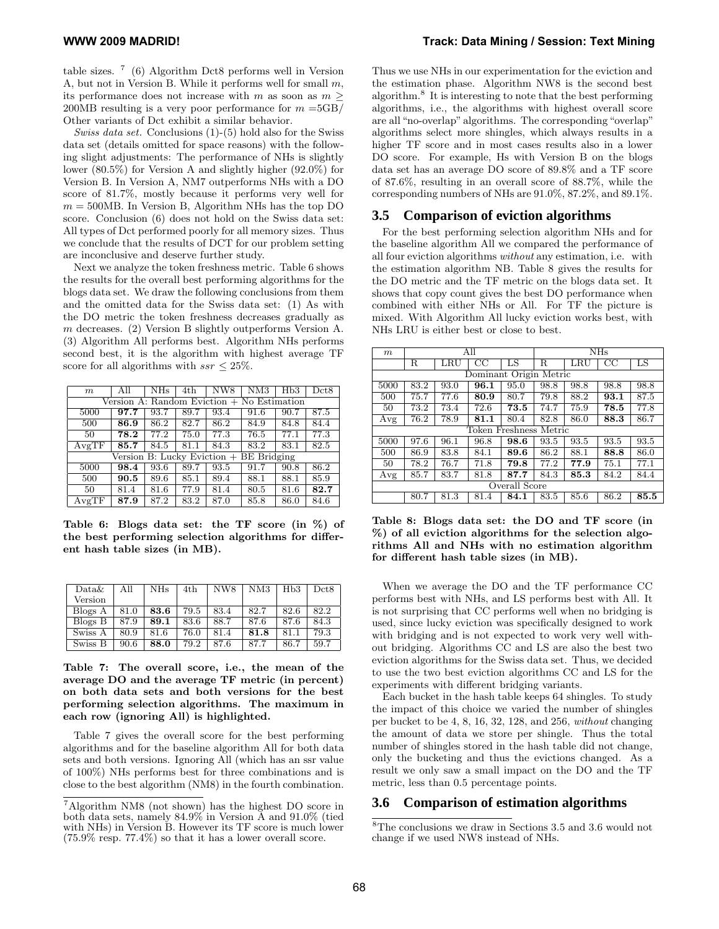Other variants of Dct exhibit a similar behavior. Swiss data set. Conclusions (1)-(5) hold also for the Swiss data set (details omitted for space reasons) with the following slight adjustments: The performance of NHs is slightly lower (80.5%) for Version A and slightly higher (92.0%) for Version B. In Version A, NM7 outperforms NHs with a DO score of 81.7%, mostly because it performs very well for  $m = 500MB$ . In Version B, Algorithm NHs has the top DO score. Conclusion (6) does not hold on the Swiss data set: All types of Dct performed poorly for all memory sizes. Thus we conclude that the results of DCT for our problem setting are inconclusive and deserve further study.

200MB resulting is a very poor performance for  $m = 5GB/$ 

Next we analyze the token freshness metric. Table 6 shows the results for the overall best performing algorithms for the blogs data set. We draw the following conclusions from them and the omitted data for the Swiss data set: (1) As with the DO metric the token freshness decreases gradually as m decreases. (2) Version B slightly outperforms Version A. (3) Algorithm All performs best. Algorithm NHs performs second best, it is the algorithm with highest average TF score for all algorithms with  $ssr \leq 25\%$ .

| m     | All  | <b>NHs</b> | 4th  | NW8                                          | NM3  | Hb3  | $_{\rm Det8}$ |
|-------|------|------------|------|----------------------------------------------|------|------|---------------|
|       |      |            |      | Version A: Random Eviction $+$ No Estimation |      |      |               |
| 5000  | 97.7 | 93.7       | 89.7 | 93.4                                         | 91.6 | 90.7 | 87.5          |
| 500   | 86.9 | 86.2       | 82.7 | 86.2                                         | 84.9 | 84.8 | 84.4          |
| 50    | 78.2 | 77.2       | 75.0 | 77.3                                         | 76.5 | 77.1 | 77.3          |
| AvgTF | 85.7 | 84.5       | 81.1 | 84.3                                         | 83.2 | 83.1 | 82.5          |
|       |      |            |      | Version B: Lucky Eviction + BE Bridging      |      |      |               |
| 5000  | 98.4 | 93.6       | 89.7 | 93.5                                         | 91.7 | 90.8 | 86.2          |
| 500   | 90.5 | 89.6       | 85.1 | 89.4                                         | 88.1 | 88.1 | 85.9          |
| 50    | 81.4 | 81.6       | 77.9 | 81.4                                         | 80.5 | 81.6 | 82.7          |
| AvgTF | 87.9 | 87.2       | 83.2 | 87.0                                         | 85.8 | 86.0 | 84.6          |

Table 6: Blogs data set: the TF score (in %) of the best performing selection algorithms for different hash table sizes (in MB).

| $\mathrm{Data}\&$ | All  | NHs  | 4th  | NW8  | NM <sub>3</sub> | Hb3  | $_{\rm Det8}$ |
|-------------------|------|------|------|------|-----------------|------|---------------|
| Version           |      |      |      |      |                 |      |               |
| Blogs A           | 81.0 | 83.6 | 79.5 | 83.4 | 82.7            | 82.6 | 82.2          |
| Blogs B           | 87.9 | 89.1 | 83.6 | 88.7 | 87.6            | 87.6 | 84.3          |
| Swiss A           | 80.9 | 81.6 | 76.0 | 81.4 | 81.8            | 81.1 | 79.3          |
| Swiss B           | 90.6 | 88.0 | 79.2 | 87.6 | 87.7            | 86.7 | 59.7          |

Table 7: The overall score, i.e., the mean of the average DO and the average TF metric (in percent) on both data sets and both versions for the best performing selection algorithms. The maximum in each row (ignoring All) is highlighted.

Table 7 gives the overall score for the best performing algorithms and for the baseline algorithm All for both data sets and both versions. Ignoring All (which has an ssr value of 100%) NHs performs best for three combinations and is close to the best algorithm (NM8) in the fourth combination.

Thus we use NHs in our experimentation for the eviction and the estimation phase. Algorithm NW8 is the second best algorithm.<sup>8</sup> It is interesting to note that the best performing algorithms, i.e., the algorithms with highest overall score are all "no-overlap" algorithms. The corresponding "overlap" algorithms select more shingles, which always results in a higher TF score and in most cases results also in a lower DO score. For example, Hs with Version B on the blogs data set has an average DO score of 89.8% and a TF score of 87.6%, resulting in an overall score of 88.7%, while the corresponding numbers of NHs are 91.0%, 87.2%, and 89.1%.

### **3.5 Comparison of eviction algorithms**

For the best performing selection algorithm NHs and for the baseline algorithm All we compared the performance of all four eviction algorithms without any estimation, i.e. with the estimation algorithm NB. Table 8 gives the results for the DO metric and the TF metric on the blogs data set. It shows that copy count gives the best DO performance when combined with either NHs or All. For TF the picture is mixed. With Algorithm All lucky eviction works best, with NHs LRU is either best or close to best.

| m             |      |      | All                    |      | <b>NHs</b> |      |                        |      |
|---------------|------|------|------------------------|------|------------|------|------------------------|------|
|               | R    | LRU  | CC                     | LS   | R          | LRU  | $\overline{\text{CC}}$ | LS   |
|               |      |      | Dominant Origin Metric |      |            |      |                        |      |
| 5000          | 83.2 | 93.0 | 96.1                   | 95.0 | 98.8       | 98.8 | 98.8                   | 98.8 |
| 500           | 75.7 | 77.6 | 80.9                   | 80.7 | 79.8       | 88.2 | 93.1                   | 87.5 |
| 50            | 73.2 | 73.4 | 72.6                   | 73.5 | 74.7       | 75.9 | 78.5                   | 77.8 |
| Avg           | 76.2 | 78.9 | 81.1                   | 80.4 | 82.8       | 86.0 | 88.3                   | 86.7 |
|               |      |      | Token Freshness Metric |      |            |      |                        |      |
| 5000          | 97.6 | 96.1 | 96.8                   | 98.6 | 93.5       | 93.5 | 93.5                   | 93.5 |
| 500           | 86.9 | 83.8 | 84.1                   | 89.6 | 86.2       | 88.1 | 88.8                   | 86.0 |
| 50            | 78.2 | 76.7 | 71.8                   | 79.8 | 77.2       | 77.9 | 75.1                   | 77.1 |
| Avg           | 85.7 | 83.7 | 81.8                   | 87.7 | 84.3       | 85.3 | 84.2                   | 84.4 |
| Overall Score |      |      |                        |      |            |      |                        |      |
|               | 80.7 | 81.3 | 81.4                   | 84.1 | 83.5       | 85.6 | 86.2                   | 85.5 |

Table 8: Blogs data set: the DO and TF score (in %) of all eviction algorithms for the selection algorithms All and NHs with no estimation algorithm for different hash table sizes (in MB).

When we average the DO and the TF performance CC performs best with NHs, and LS performs best with All. It is not surprising that CC performs well when no bridging is used, since lucky eviction was specifically designed to work with bridging and is not expected to work very well without bridging. Algorithms CC and LS are also the best two eviction algorithms for the Swiss data set. Thus, we decided to use the two best eviction algorithms CC and LS for the experiments with different bridging variants.

Each bucket in the hash table keeps 64 shingles. To study the impact of this choice we varied the number of shingles per bucket to be 4, 8, 16, 32, 128, and 256, without changing the amount of data we store per shingle. Thus the total number of shingles stored in the hash table did not change, only the bucketing and thus the evictions changed. As a result we only saw a small impact on the DO and the TF metric, less than 0.5 percentage points.

# **3.6 Comparison of estimation algorithms**

<sup>7</sup>Algorithm NM8 (not shown) has the highest DO score in both data sets, namely 84.9% in Version A and 91.0% (tied with NHs) in Version B. However its TF score is much lower (75.9% resp. 77.4%) so that it has a lower overall score.

 ${}^{8}$ The conclusions we draw in Sections 3.5 and 3.6 would not change if we used NW8 instead of NHs.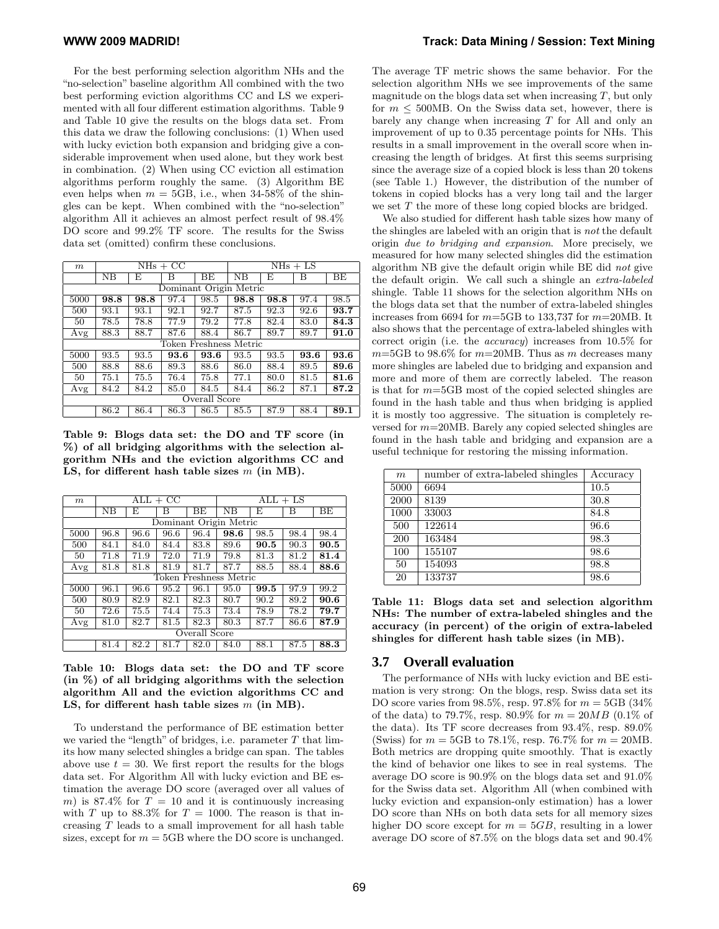For the best performing selection algorithm NHs and the "no-selection" baseline algorithm All combined with the two best performing eviction algorithms CC and LS we experimented with all four different estimation algorithms. Table 9 and Table 10 give the results on the blogs data set. From this data we draw the following conclusions: (1) When used with lucky eviction both expansion and bridging give a considerable improvement when used alone, but they work best in combination. (2) When using CC eviction all estimation algorithms perform roughly the same. (3) Algorithm BE even helps when  $m = 5GB$ , i.e., when 34-58% of the shingles can be kept. When combined with the "no-selection" algorithm All it achieves an almost perfect result of 98.4% DO score and 99.2% TF score. The results for the Swiss data set (omitted) confirm these conclusions.

| m    |               |      | $NHS + CC$ |                        | $NHs + LS$ |      |      |      |
|------|---------------|------|------------|------------------------|------------|------|------|------|
|      | NB            | E    | В          | BE                     | NB         | E    | в    | ΒE   |
|      |               |      |            | Dominant Origin Metric |            |      |      |      |
| 5000 | 98.8          | 98.8 | 97.4       | 98.5                   | 98.8       | 98.8 | 97.4 | 98.5 |
| 500  | 93.1          | 93.1 | 92.1       | 92.7                   | 87.5       | 92.3 | 92.6 | 93.7 |
| 50   | 78.5          | 78.8 | 77.9       | 79.2                   | 77.8       | 82.4 | 83.0 | 84.3 |
| Avg  | 88.3          | 88.7 | 87.6       | 88.4                   | 86.7       | 89.7 | 89.7 | 91.0 |
|      |               |      |            | Token Freshness Metric |            |      |      |      |
| 5000 | 93.5          | 93.5 | 93.6       | 93.6                   | 93.5       | 93.5 | 93.6 | 93.6 |
| 500  | 88.8          | 88.6 | 89.3       | 88.6                   | 86.0       | 88.4 | 89.5 | 89.6 |
| 50   | 75.1          | 75.5 | 76.4       | 75.8                   | 77.1       | 80.0 | 81.5 | 81.6 |
| Avg  | 84.2          | 84.2 | 85.0       | 84.5                   | 84.4       | 86.2 | 87.1 | 87.2 |
|      | Overall Score |      |            |                        |            |      |      |      |
|      | 86.2          | 86.4 | 86.3       | 86.5                   | 85.5       | 87.9 | 88.4 | 89.1 |

Table 9: Blogs data set: the DO and TF score (in %) of all bridging algorithms with the selection algorithm NHs and the eviction algorithms CC and LS, for different hash table sizes  $m$  (in MB).

| $\boldsymbol{m}$ |             |      | $ALL + CC$ |      | $ALL + LS$             |      |      |                   |
|------------------|-------------|------|------------|------|------------------------|------|------|-------------------|
|                  | $_{\rm NB}$ | E    | В          | ΒE   | $_{\rm NB}$            | E    | В    | BE                |
|                  |             |      |            |      | Dominant Origin Metric |      |      |                   |
| 5000             | 96.8        | 96.6 | 96.6       | 96.4 | 98.6                   | 98.5 | 98.4 | 98.4              |
| 500              | 84.1        | 84.0 | 84.4       | 83.8 | 89.6                   | 90.5 | 90.3 | 90.5              |
| 50               | 71.8        | 71.9 | 72.0       | 71.9 | 79.8                   | 81.3 | 81.2 | $\overline{8}1.4$ |
| Avg              | 81.8        | 81.8 | 81.9       | 81.7 | 87.7                   | 88.5 | 88.4 | 88.6              |
|                  |             |      |            |      | Token Freshness Metric |      |      |                   |
| 5000             | 96.1        | 96.6 | 95.2       | 96.1 | 95.0                   | 99.5 | 97.9 | 99.2              |
| 500              | 80.9        | 82.9 | 82.1       | 82.3 | 80.7                   | 90.2 | 89.2 | 90.6              |
| 50               | 72.6        | 75.5 | 74.4       | 75.3 | 73.4                   | 78.9 | 78.2 | 79.7              |
| Avg              | 81.0        | 82.7 | 81.5       | 82.3 | 80.3                   | 87.7 | 86.6 | 87.9              |
| Overall Score    |             |      |            |      |                        |      |      |                   |
|                  | 81.4        | 82.2 | 81.7       | 82.0 | 84.0                   | 88.1 | 87.5 | 88.3              |

Table 10: Blogs data set: the DO and TF score  $\left( \text{in } \% \right)$  of all bridging algorithms with the selection algorithm All and the eviction algorithms CC and LS, for different hash table sizes  $m$  (in MB).

To understand the performance of BE estimation better we varied the "length" of bridges, i.e. parameter  $T$  that limits how many selected shingles a bridge can span. The tables above use  $t = 30$ . We first report the results for the blogs data set. For Algorithm All with lucky eviction and BE estimation the average DO score (averaged over all values of m) is 87.4% for  $T = 10$  and it is continuously increasing with T up to 88.3% for  $T = 1000$ . The reason is that increasing T leads to a small improvement for all hash table sizes, except for  $m = 5GB$  where the DO score is unchanged.

The average TF metric shows the same behavior. For the selection algorithm NHs we see improvements of the same magnitude on the blogs data set when increasing  $T$ , but only for  $m \leq 500MB$ . On the Swiss data set, however, there is barely any change when increasing T for All and only an improvement of up to 0.35 percentage points for NHs. This results in a small improvement in the overall score when increasing the length of bridges. At first this seems surprising since the average size of a copied block is less than 20 tokens (see Table 1.) However, the distribution of the number of tokens in copied blocks has a very long tail and the larger we set T the more of these long copied blocks are bridged.

We also studied for different hash table sizes how many of the shingles are labeled with an origin that is not the default origin due to bridging and expansion. More precisely, we measured for how many selected shingles did the estimation algorithm NB give the default origin while BE did not give the default origin. We call such a shingle an extra-labeled shingle. Table 11 shows for the selection algorithm NHs on the blogs data set that the number of extra-labeled shingles increases from 6694 for  $m=5GB$  to 133,737 for  $m=20MB$ . It also shows that the percentage of extra-labeled shingles with correct origin (i.e. the accuracy) increases from 10.5% for  $m=5GB$  to 98.6% for  $m=20MB$ . Thus as m decreases many more shingles are labeled due to bridging and expansion and more and more of them are correctly labeled. The reason is that for  $m=5GB$  most of the copied selected shingles are found in the hash table and thus when bridging is applied it is mostly too aggressive. The situation is completely reversed for m=20MB. Barely any copied selected shingles are found in the hash table and bridging and expansion are a useful technique for restoring the missing information.

| m    | number of extra-labeled shingles | Accuracy |
|------|----------------------------------|----------|
| 5000 | 6694                             | 10.5     |
| 2000 | 8139                             | 30.8     |
| 1000 | 33003                            | 84.8     |
| 500  | 122614                           | 96.6     |
| 200  | 163484                           | 98.3     |
| 100  | 155107                           | 98.6     |
| 50   | 154093                           | 98.8     |
| 20   | 133737                           | 98.6     |

Table 11: Blogs data set and selection algorithm NHs: The number of extra-labeled shingles and the accuracy (in percent) of the origin of extra-labeled shingles for different hash table sizes (in MB).

### **3.7 Overall evaluation**

The performance of NHs with lucky eviction and BE estimation is very strong: On the blogs, resp. Swiss data set its DO score varies from 98.5%, resp. 97.8% for  $m = 5GB$  (34%) of the data) to 79.7%, resp. 80.9% for  $m = 20MB$  (0.1% of the data). Its TF score decreases from 93.4%, resp. 89.0% (Swiss) for  $m = 5GB$  to 78.1%, resp. 76.7% for  $m = 20MB$ . Both metrics are dropping quite smoothly. That is exactly the kind of behavior one likes to see in real systems. The average DO score is 90.9% on the blogs data set and 91.0% for the Swiss data set. Algorithm All (when combined with lucky eviction and expansion-only estimation) has a lower DO score than NHs on both data sets for all memory sizes higher DO score except for  $m = 5GB$ , resulting in a lower average DO score of 87.5% on the blogs data set and 90.4%